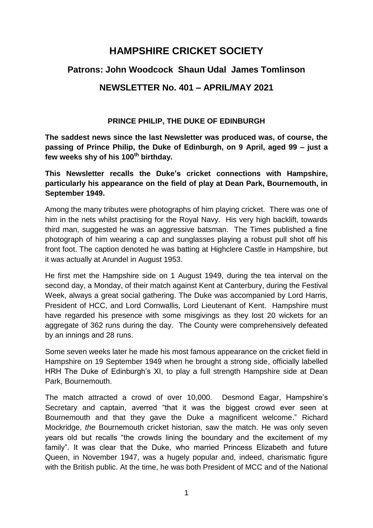# **HAMPSHIRE CRICKET SOCIETY**

# **Patrons: John Woodcock Shaun Udal James Tomlinson**

# **NEWSLETTER No. 401 – APRIL/MAY 2021**

## **PRINCE PHILIP, THE DUKE OF EDINBURGH**

**The saddest news since the last Newsletter was produced was, of course, the passing of Prince Philip, the Duke of Edinburgh, on 9 April, aged 99 – just a few weeks shy of his 100th birthday.** 

**This Newsletter recalls the Duke's cricket connections with Hampshire, particularly his appearance on the field of play at Dean Park, Bournemouth, in September 1949.** 

Among the many tributes were photographs of him playing cricket. There was one of him in the nets whilst practising for the Royal Navy. His very high backlift, towards third man, suggested he was an aggressive batsman. The Times published a fine photograph of him wearing a cap and sunglasses playing a robust pull shot off his front foot. The caption denoted he was batting at Highclere Castle in Hampshire, but it was actually at Arundel in August 1953.

He first met the Hampshire side on 1 August 1949, during the tea interval on the second day, a Monday, of their match against Kent at Canterbury, during the Festival Week, always a great social gathering. The Duke was accompanied by Lord Harris, President of HCC, and Lord Cornwallis, Lord Lieutenant of Kent. Hampshire must have regarded his presence with some misgivings as they lost 20 wickets for an aggregate of 362 runs during the day. The County were comprehensively defeated by an innings and 28 runs.

Some seven weeks later he made his most famous appearance on the cricket field in Hampshire on 19 September 1949 when he brought a strong side, officially labelled HRH The Duke of Edinburgh's XI, to play a full strength Hampshire side at Dean Park, Bournemouth.

The match attracted a crowd of over 10,000. Desmond Eagar, Hampshire's Secretary and captain, averred "that it was the biggest crowd ever seen at Bournemouth and that they gave the Duke a magnificent welcome." Richard Mockridge, *the* Bournemouth cricket historian, saw the match. He was only seven years old but recalls "the crowds lining the boundary and the excitement of my family". It was clear that the Duke, who married Princess Elizabeth and future Queen, in November 1947, was a hugely popular and, indeed, charismatic figure with the British public. At the time, he was both President of MCC and of the National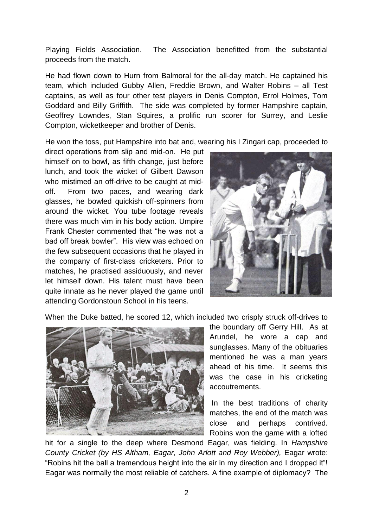Playing Fields Association. The Association benefitted from the substantial proceeds from the match.

He had flown down to Hurn from Balmoral for the all-day match. He captained his team, which included Gubby Allen, Freddie Brown, and Walter Robins – all Test captains, as well as four other test players in Denis Compton, Errol Holmes, Tom Goddard and Billy Griffith. The side was completed by former Hampshire captain, Geoffrey Lowndes, Stan Squires, a prolific run scorer for Surrey, and Leslie Compton, wicketkeeper and brother of Denis.

He won the toss, put Hampshire into bat and, wearing his I Zingari cap, proceeded to

direct operations from slip and mid-on. He put himself on to bowl, as fifth change, just before lunch, and took the wicket of Gilbert Dawson who mistimed an off-drive to be caught at midoff. From two paces, and wearing dark glasses, he bowled quickish off-spinners from around the wicket. You tube footage reveals there was much vim in his body action. Umpire Frank Chester commented that "he was not a bad off break bowler". His view was echoed on the few subsequent occasions that he played in the company of first-class cricketers. Prior to matches, he practised assiduously, and never let himself down. His talent must have been quite innate as he never played the game until attending Gordonstoun School in his teens.



When the Duke batted, he scored 12, which included two crisply struck off-drives to



the boundary off Gerry Hill. As at Arundel, he wore a cap and sunglasses. Many of the obituaries mentioned he was a man years ahead of his time. It seems this was the case in his cricketing accoutrements.

In the best traditions of charity matches, the end of the match was close and perhaps contrived. Robins won the game with a lofted

hit for a single to the deep where Desmond Eagar, was fielding. In *Hampshire County Cricket (by HS Altham, Eagar, John Arlott and Roy Webber),* Eagar wrote: "Robins hit the ball a tremendous height into the air in my direction and I dropped it"! Eagar was normally the most reliable of catchers. A fine example of diplomacy? The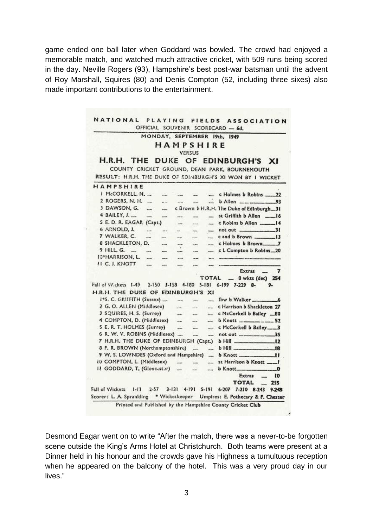game ended one ball later when Goddard was bowled. The crowd had enjoyed a memorable match, and watched much attractive cricket, with 509 runs being scored in the day. Neville Rogers (93), Hampshire's best post-war batsman until the advent of Roy Marshall, Squires (80) and Denis Compton (52, including three sixes) also made important contributions to the entertainment.

|                                        |                           |               |                          |                          |                          | MONDAY, SEPTEMBER 19th, 1949                                                 |
|----------------------------------------|---------------------------|---------------|--------------------------|--------------------------|--------------------------|------------------------------------------------------------------------------|
|                                        |                           |               | HAMPSHIRE                |                          |                          |                                                                              |
|                                        |                           |               |                          | <b>VERSUS</b>            |                          |                                                                              |
| H.R.H. THE                             |                           |               |                          |                          |                          | DUKE OF EDINBURGH'S XI                                                       |
|                                        |                           |               |                          |                          |                          | COUNTY CRICKET GROUND, DEAN PARK, BOURNEMOUTH                                |
|                                        |                           |               |                          |                          |                          | RESULT: H.R.H. THE DUKE OF EDINBURGH'S XI WON BY I WICKET                    |
| HAMPSHIRE                              |                           |               |                          |                          |                          |                                                                              |
| I McCORKELL, N.                        |                           |               |                          | in a                     |                          | c Holmes b Robins _____ 22                                                   |
| 2 ROGERS, N. H.                        | $\sim$                    | $\frac{1}{2}$ |                          | a.                       |                          | b Allen _______________93                                                    |
| 3 DAWSON, G.                           |                           | ---           |                          |                          |                          | c Brown b H.R.H. The Duke of Edinburgh_31                                    |
| 4 BAILEY, J.                           | -                         | ---           | ---                      |                          | ---                      | st Griffith b Allen ____ 16                                                  |
| S E. D. R. EAGAR (Capt.)               |                           |               | $\overline{\phantom{a}}$ | e es                     | aus:                     |                                                                              |
| 6 ARNOLD, J.                           | $rac{1}{2}$               | $***$         | sit .                    | tures                    |                          |                                                                              |
| 7 WALKER, C.                           |                           | ants'         | met                      | <b>LEASE</b>             | mass :                   |                                                                              |
| 8 SHACKLETON, D.                       |                           | mont          | <b>HAR</b>               | specs                    | man                      | c Holmes b Brown.17                                                          |
| 9 HILL, G.                             | <b>College</b>            | some.         | --                       | $\cdots$                 | $***$                    | c L Compton b Robins 20                                                      |
| 10*HARRISON, L.                        |                           |               | $-111$                   | --                       |                          |                                                                              |
| II C. J. KNOTT                         | ---                       | --            | $-$                      | $\overline{\phantom{a}}$ |                          |                                                                              |
|                                        |                           |               |                          |                          |                          | Extras<br>7                                                                  |
|                                        |                           |               |                          |                          | TOTAL                    | - 8 wkts (dec) 254                                                           |
| Fall of VV.ckets 1-49                  |                           |               | 2-150 3-158 4-180 5-181  |                          |                          | 6-199 7-229 8-<br>9.                                                         |
| H.R.H. THE DUKE OF EDINBURGH'S XI      |                           |               |                          |                          |                          |                                                                              |
| 1°S. C. GRIFFITH (Sussex) -            |                           |               | L.                       | ÷.                       | $\overline{\phantom{a}}$ | lbw b Walker 6                                                               |
| 2 G. O. ALLEN (Middlesex)              |                           |               | <b>Sales</b>             | mar.                     | $\overline{a}$           | c Harrison b Shackleton 27                                                   |
|                                        | 3 SQUIRES, H. S. (Surrey) |               |                          |                          | $\sim$                   | c McCorkell b Bailey __ 80                                                   |
|                                        |                           |               | $rac{1}{2}$              |                          | and a                    | b Knott __________52                                                         |
| 4 COMPTON, D. (Middlesex)              |                           |               |                          |                          |                          |                                                                              |
| S E. R. T. HOLMES (Surrey)             |                           |               | and in                   | $\overline{a}$           | anna.                    |                                                                              |
| 6 R. W. V. ROBINS (Middlesex)          |                           |               |                          | $\cdots$                 | and in                   | 35                                                                           |
| 7 H.R.H. THE DUKE OF EDINBURGH (Capt.) |                           |               |                          |                          |                          | b Hill _________                                                             |
| 8 F. R. BROWN (Northamptonshire)       |                           |               |                          |                          | $\overline{a}$           | .12<br>.18                                                                   |
| 9 W. S. LOWNDES (Oxford and Hampshire) |                           |               |                          |                          | $\sim$                   | <b>b</b> Knott<br>"                                                          |
| tu COMPTON, L. (Middlesex)             |                           |               | $\cdots$                 |                          |                          | st Harrison b Knott<br>_1                                                    |
| II GODDARD, T, (Gloucaster)            |                           |               | $\overline{a}$           | $\cdots$                 | --                       | b Knott<br>o                                                                 |
|                                        |                           |               |                          |                          |                          | Extras<br>t0                                                                 |
| Fall of Wickets<br>$1 - 11$            |                           |               |                          |                          |                          | <b>TOTAL</b><br>255<br>2-57 3-131 4-191 5-191 6-207 7-210 8-243<br>$9 - 248$ |

Desmond Eagar went on to write "After the match, there was a never-to-be forgotten scene outside the King's Arms Hotel at Christchurch. Both teams were present at a Dinner held in his honour and the crowds gave his Highness a tumultuous reception when he appeared on the balcony of the hotel. This was a very proud day in our lives."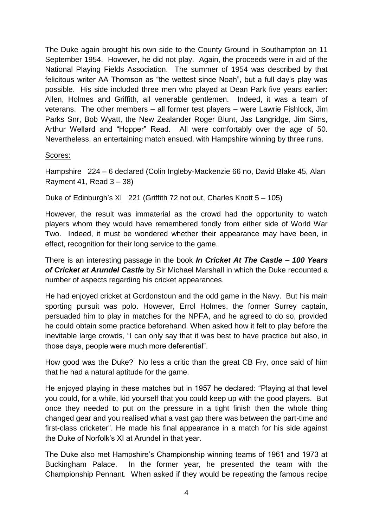The Duke again brought his own side to the County Ground in Southampton on 11 September 1954. However, he did not play. Again, the proceeds were in aid of the National Playing Fields Association. The summer of 1954 was described by that felicitous writer AA Thomson as "the wettest since Noah", but a full day's play was possible. His side included three men who played at Dean Park five years earlier: Allen, Holmes and Griffith, all venerable gentlemen. Indeed, it was a team of veterans. The other members – all former test players – were Lawrie Fishlock, Jim Parks Snr, Bob Wyatt, the New Zealander Roger Blunt, Jas Langridge, Jim Sims, Arthur Wellard and "Hopper" Read. All were comfortably over the age of 50. Nevertheless, an entertaining match ensued, with Hampshire winning by three runs.

#### Scores:

Hampshire 224 – 6 declared (Colin Ingleby-Mackenzie 66 no, David Blake 45, Alan Rayment 41, Read  $3 - 38$ )

Duke of Edinburgh's XI 221 (Griffith 72 not out, Charles Knott 5 – 105)

However, the result was immaterial as the crowd had the opportunity to watch players whom they would have remembered fondly from either side of World War Two. Indeed, it must be wondered whether their appearance may have been, in effect, recognition for their long service to the game.

There is an interesting passage in the book *In Cricket At The Castle – 100 Years of Cricket at Arundel Castle* by Sir Michael Marshall in which the Duke recounted a number of aspects regarding his cricket appearances.

He had enjoyed cricket at Gordonstoun and the odd game in the Navy. But his main sporting pursuit was polo. However, Errol Holmes, the former Surrey captain, persuaded him to play in matches for the NPFA, and he agreed to do so, provided he could obtain some practice beforehand. When asked how it felt to play before the inevitable large crowds, "I can only say that it was best to have practice but also, in those days, people were much more deferential".

How good was the Duke? No less a critic than the great CB Fry, once said of him that he had a natural aptitude for the game.

He enjoyed playing in these matches but in 1957 he declared: "Playing at that level you could, for a while, kid yourself that you could keep up with the good players. But once they needed to put on the pressure in a tight finish then the whole thing changed gear and you realised what a vast gap there was between the part-time and first-class cricketer". He made his final appearance in a match for his side against the Duke of Norfolk's XI at Arundel in that year.

The Duke also met Hampshire's Championship winning teams of 1961 and 1973 at Buckingham Palace. In the former year, he presented the team with the Championship Pennant. When asked if they would be repeating the famous recipe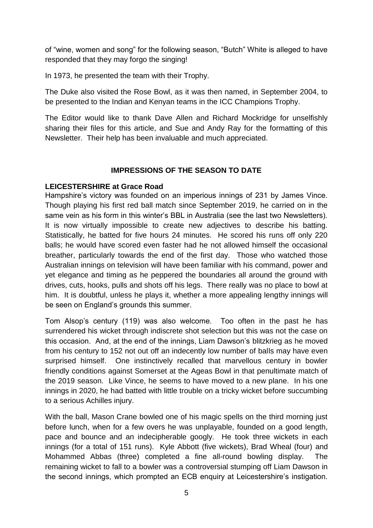of "wine, women and song" for the following season, "Butch" White is alleged to have responded that they may forgo the singing!

In 1973, he presented the team with their Trophy.

The Duke also visited the Rose Bowl, as it was then named, in September 2004, to be presented to the Indian and Kenyan teams in the ICC Champions Trophy.

The Editor would like to thank Dave Allen and Richard Mockridge for unselfishly sharing their files for this article, and Sue and Andy Ray for the formatting of this Newsletter. Their help has been invaluable and much appreciated.

## **IMPRESSIONS OF THE SEASON TO DATE**

## **LEICESTERSHIRE at Grace Road**

Hampshire's victory was founded on an imperious innings of 231 by James Vince. Though playing his first red ball match since September 2019, he carried on in the same vein as his form in this winter's BBL in Australia (see the last two Newsletters). It is now virtually impossible to create new adjectives to describe his batting. Statistically, he batted for five hours 24 minutes. He scored his runs off only 220 balls; he would have scored even faster had he not allowed himself the occasional breather, particularly towards the end of the first day. Those who watched those Australian innings on television will have been familiar with his command, power and yet elegance and timing as he peppered the boundaries all around the ground with drives, cuts, hooks, pulls and shots off his legs. There really was no place to bowl at him. It is doubtful, unless he plays it, whether a more appealing lengthy innings will be seen on England's grounds this summer.

Tom Alsop's century (119) was also welcome. Too often in the past he has surrendered his wicket through indiscrete shot selection but this was not the case on this occasion. And, at the end of the innings, Liam Dawson's blitzkrieg as he moved from his century to 152 not out off an indecently low number of balls may have even surprised himself. One instinctively recalled that marvellous century in bowler friendly conditions against Somerset at the Ageas Bowl in that penultimate match of the 2019 season. Like Vince, he seems to have moved to a new plane. In his one innings in 2020, he had batted with little trouble on a tricky wicket before succumbing to a serious Achilles injury.

With the ball, Mason Crane bowled one of his magic spells on the third morning just before lunch, when for a few overs he was unplayable, founded on a good length, pace and bounce and an indecipherable googly. He took three wickets in each innings (for a total of 151 runs). Kyle Abbott (five wickets), Brad Wheal (four) and Mohammed Abbas (three) completed a fine all-round bowling display. The remaining wicket to fall to a bowler was a controversial stumping off Liam Dawson in the second innings, which prompted an ECB enquiry at Leicestershire's instigation.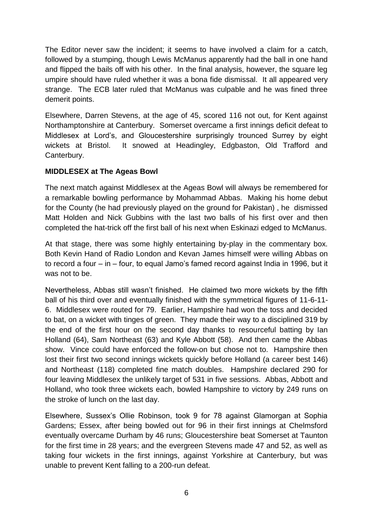The Editor never saw the incident; it seems to have involved a claim for a catch, followed by a stumping, though Lewis McManus apparently had the ball in one hand and flipped the bails off with his other. In the final analysis, however, the square leg umpire should have ruled whether it was a bona fide dismissal. It all appeared very strange. The ECB later ruled that McManus was culpable and he was fined three demerit points.

Elsewhere, Darren Stevens, at the age of 45, scored 116 not out, for Kent against Northamptonshire at Canterbury. Somerset overcame a first innings deficit defeat to Middlesex at Lord's, and Gloucestershire surprisingly trounced Surrey by eight wickets at Bristol. It snowed at Headingley, Edgbaston, Old Trafford and Canterbury.

## **MIDDLESEX at The Ageas Bowl**

The next match against Middlesex at the Ageas Bowl will always be remembered for a remarkable bowling performance by Mohammad Abbas. Making his home debut for the County (he had previously played on the ground for Pakistan) , he dismissed Matt Holden and Nick Gubbins with the last two balls of his first over and then completed the hat-trick off the first ball of his next when Eskinazi edged to McManus.

At that stage, there was some highly entertaining by-play in the commentary box. Both Kevin Hand of Radio London and Kevan James himself were willing Abbas on to record a four – in – four, to equal Jamo's famed record against India in 1996, but it was not to be.

Nevertheless, Abbas still wasn't finished. He claimed two more wickets by the fifth ball of his third over and eventually finished with the symmetrical figures of 11-6-11- 6. Middlesex were routed for 79. Earlier, Hampshire had won the toss and decided to bat, on a wicket with tinges of green. They made their way to a disciplined 319 by the end of the first hour on the second day thanks to resourceful batting by Ian Holland (64), Sam Northeast (63) and Kyle Abbott (58). And then came the Abbas show. Vince could have enforced the follow-on but chose not to. Hampshire then lost their first two second innings wickets quickly before Holland (a career best 146) and Northeast (118) completed fine match doubles. Hampshire declared 290 for four leaving Middlesex the unlikely target of 531 in five sessions. Abbas, Abbott and Holland, who took three wickets each, bowled Hampshire to victory by 249 runs on the stroke of lunch on the last day.

Elsewhere, Sussex's Ollie Robinson, took 9 for 78 against Glamorgan at Sophia Gardens; Essex, after being bowled out for 96 in their first innings at Chelmsford eventually overcame Durham by 46 runs; Gloucestershire beat Somerset at Taunton for the first time in 28 years; and the evergreen Stevens made 47 and 52, as well as taking four wickets in the first innings, against Yorkshire at Canterbury, but was unable to prevent Kent falling to a 200-run defeat.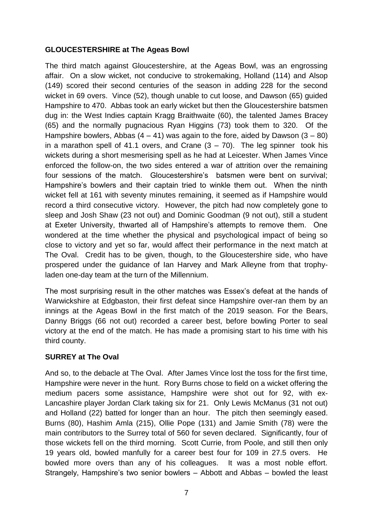## **GLOUCESTERSHIRE at The Ageas Bowl**

The third match against Gloucestershire, at the Ageas Bowl, was an engrossing affair. On a slow wicket, not conducive to strokemaking, Holland (114) and Alsop (149) scored their second centuries of the season in adding 228 for the second wicket in 69 overs. Vince (52), though unable to cut loose, and Dawson (65) guided Hampshire to 470. Abbas took an early wicket but then the Gloucestershire batsmen dug in: the West Indies captain Kragg Braithwaite (60), the talented James Bracey (65) and the normally pugnacious Ryan Higgins (73) took them to 320. Of the Hampshire bowlers, Abbas  $(4 - 41)$  was again to the fore, aided by Dawson  $(3 - 80)$ in a marathon spell of 41.1 overs, and Crane  $(3 - 70)$ . The leg spinner took his wickets during a short mesmerising spell as he had at Leicester. When James Vince enforced the follow-on, the two sides entered a war of attrition over the remaining four sessions of the match. Gloucestershire's batsmen were bent on survival; Hampshire's bowlers and their captain tried to winkle them out. When the ninth wicket fell at 161 with seventy minutes remaining, it seemed as if Hampshire would record a third consecutive victory. However, the pitch had now completely gone to sleep and Josh Shaw (23 not out) and Dominic Goodman (9 not out), still a student at Exeter University, thwarted all of Hampshire's attempts to remove them. One wondered at the time whether the physical and psychological impact of being so close to victory and yet so far, would affect their performance in the next match at The Oval. Credit has to be given, though, to the Gloucestershire side, who have prospered under the guidance of Ian Harvey and Mark Alleyne from that trophyladen one-day team at the turn of the Millennium.

The most surprising result in the other matches was Essex's defeat at the hands of Warwickshire at Edgbaston, their first defeat since Hampshire over-ran them by an innings at the Ageas Bowl in the first match of the 2019 season. For the Bears, Danny Briggs (66 not out) recorded a career best, before bowling Porter to seal victory at the end of the match. He has made a promising start to his time with his third county.

#### **SURREY at The Oval**

And so, to the debacle at The Oval. After James Vince lost the toss for the first time, Hampshire were never in the hunt. Rory Burns chose to field on a wicket offering the medium pacers some assistance, Hampshire were shot out for 92, with ex-Lancashire player Jordan Clark taking six for 21. Only Lewis McManus (31 not out) and Holland (22) batted for longer than an hour. The pitch then seemingly eased. Burns (80), Hashim Amla (215), Ollie Pope (131) and Jamie Smith (78) were the main contributors to the Surrey total of 560 for seven declared. Significantly, four of those wickets fell on the third morning. Scott Currie, from Poole, and still then only 19 years old, bowled manfully for a career best four for 109 in 27.5 overs. He bowled more overs than any of his colleagues. It was a most noble effort. Strangely, Hampshire's two senior bowlers – Abbott and Abbas – bowled the least